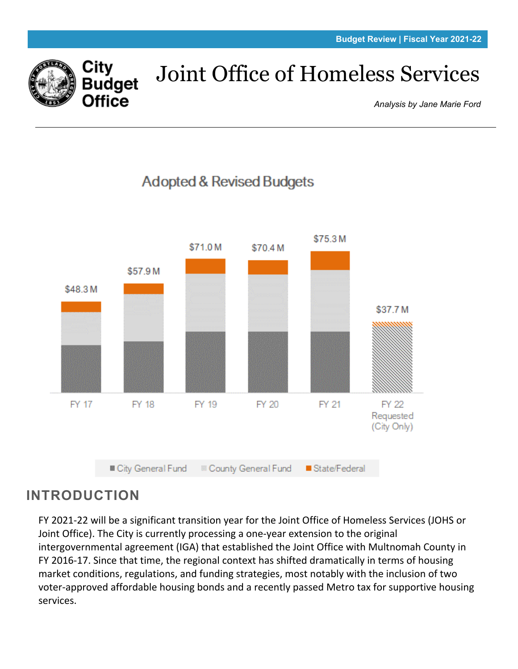

# Joint Office of Homeless Services

*Analysis by Jane Marie Ford*



# **INTRODUCTION**

FY 2021-22 will be a significant transition year for the Joint Office of Homeless Services (JOHS or Joint Office). The City is currently processing a one-year extension to the original intergovernmental agreement (IGA) that established the Joint Office with Multnomah County in FY 2016-17. Since that time, the regional context has shifted dramatically in terms of housing market conditions, regulations, and funding strategies, most notably with the inclusion of two voter-approved affordable housing bonds and a recently passed Metro tax for supportive housing services.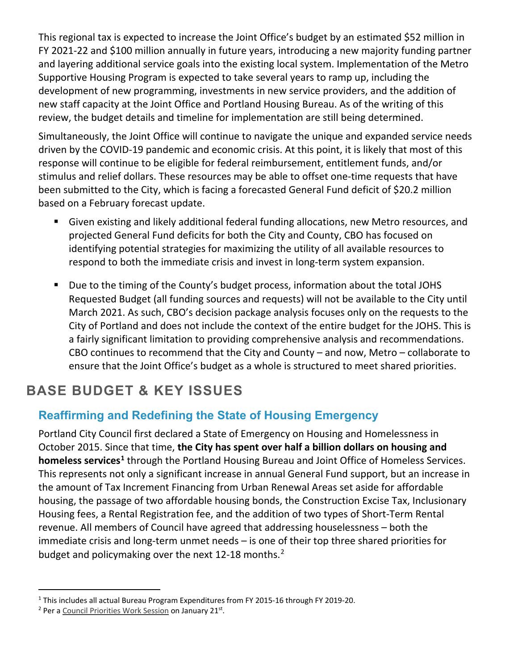This regional tax is expected to increase the Joint Office's budget by an estimated \$52 million in FY 2021-22 and \$100 million annually in future years, introducing a new majority funding partner and layering additional service goals into the existing local system. Implementation of the Metro Supportive Housing Program is expected to take several years to ramp up, including the development of new programming, investments in new service providers, and the addition of new staff capacity at the Joint Office and Portland Housing Bureau. As of the writing of this review, the budget details and timeline for implementation are still being determined.

Simultaneously, the Joint Office will continue to navigate the unique and expanded service needs driven by the COVID-19 pandemic and economic crisis. At this point, it is likely that most of this response will continue to be eligible for federal reimbursement, entitlement funds, and/or stimulus and relief dollars. These resources may be able to offset one-time requests that have been submitted to the City, which is facing a forecasted General Fund deficit of \$20.2 million based on a February forecast update.

- Given existing and likely additional federal funding allocations, new Metro resources, and projected General Fund deficits for both the City and County, CBO has focused on identifying potential strategies for maximizing the utility of all available resources to respond to both the immediate crisis and invest in long-term system expansion.
- Due to the timing of the County's budget process, information about the total JOHS Requested Budget (all funding sources and requests) will not be available to the City until March 2021. As such, CBO's decision package analysis focuses only on the requests to the City of Portland and does not include the context of the entire budget for the JOHS. This is a fairly significant limitation to providing comprehensive analysis and recommendations. CBO continues to recommend that the City and County – and now, Metro – collaborate to ensure that the Joint Office's budget as a whole is structured to meet shared priorities.

# **BASE BUDGET & KEY ISSUES**

# **Reaffirming and Redefining the State of Housing Emergency**

Portland City Council first declared a State of Emergency on Housing and Homelessness in October 2015. Since that time, **the City has spent over half a billion dollars on housing and homeless services[1](#page-1-0)** through the Portland Housing Bureau and Joint Office of Homeless Services. This represents not only a significant increase in annual General Fund support, but an increase in the amount of Tax Increment Financing from Urban Renewal Areas set aside for affordable housing, the passage of two affordable housing bonds, the Construction Excise Tax, Inclusionary Housing fees, a Rental Registration fee, and the addition of two types of Short-Term Rental revenue. All members of Council have agreed that addressing houselessness – both the immediate crisis and long-term unmet needs – is one of their top three shared priorities for budget and policymaking over the next 1[2](#page-1-1)-18 months.<sup>2</sup>

<span id="page-1-0"></span><sup>1</sup> This includes all actual Bureau Program Expenditures from FY 2015-16 through FY 2019-20.

<span id="page-1-1"></span><sup>&</sup>lt;sup>2</sup> Per a [Council Priorities Work Session](https://www.portland.gov/omf/news/2021/2/1/portland-city-council-agrees-focus-safety-housing-and-economy-city-faces-historic) on January 21<sup>st</sup>.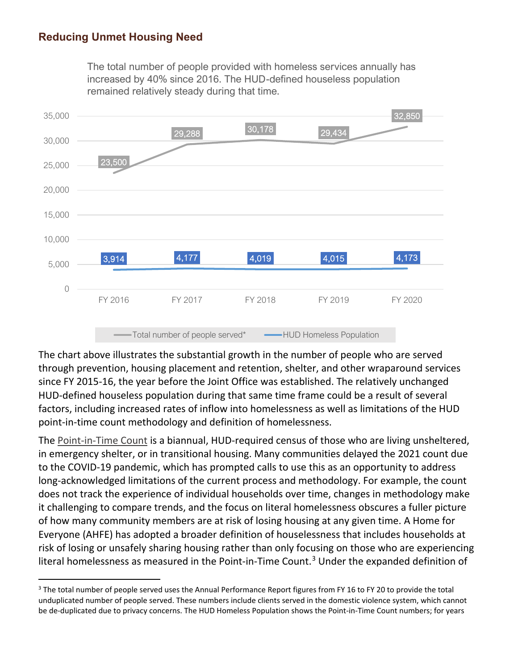## **Reducing Unmet Housing Need**

The total number of people provided with homeless services annually has increased by 40% since 2016. The HUD-defined houseless population remained relatively steady during that time.



The chart above illustrates the substantial growth in the number of people who are served through prevention, housing placement and retention, shelter, and other wraparound services since FY 2015-16, the year before the Joint Office was established. The relatively unchanged HUD-defined houseless population during that same time frame could be a result of several factors, including increased rates of inflow into homelessness as well as limitations of the HUD point-in-time count methodology and definition of homelessness.

The [Point-in-Time Count](http://ahomeforeveryone.net/streetcount) is a biannual, HUD-required census of those who are living unsheltered, in emergency shelter, or in transitional housing. Many communities delayed the 2021 count due to the COVID-19 pandemic, which has prompted calls to use this as an opportunity to address long-acknowledged limitations of the current process and methodology. For example, the count does not track the experience of individual households over time, changes in methodology make it challenging to compare trends, and the focus on literal homelessness obscures a fuller picture of how many community members are at risk of losing housing at any given time. A Home for Everyone (AHFE) has adopted a broader definition of houselessness that includes households at risk of losing or unsafely sharing housing rather than only focusing on those who are experiencing literal homelessness as measured in the Point-in-Time Count.<sup>[3](#page-2-0)</sup> Under the expanded definition of

<span id="page-2-0"></span><sup>&</sup>lt;sup>3</sup> The total number of people served uses the Annual Performance Report figures from FY 16 to FY 20 to provide the total unduplicated number of people served. These numbers include clients served in the domestic violence system, which cannot be de-duplicated due to privacy concerns. The HUD Homeless Population shows the Point-in-Time Count numbers; for years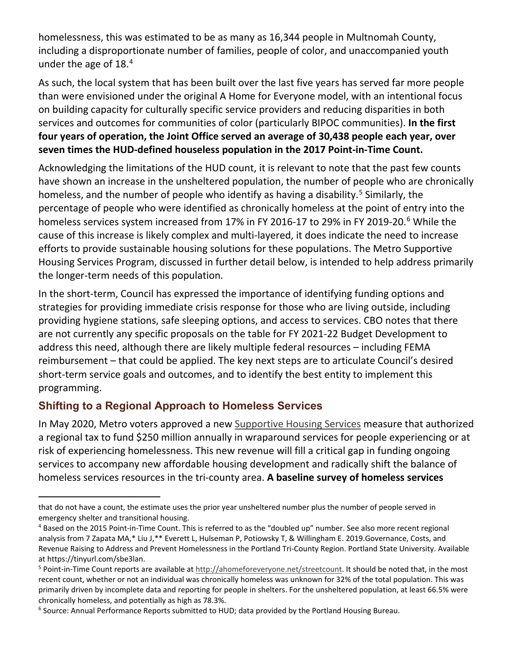homelessness, this was estimated to be as many as 16,344 people in Multnomah County, including a disproportionate number of families, people of color, and unaccompanied youth under the age of 18.[4](#page-3-0)

As such, the local system that has been built over the last five years has served far more people than were envisioned under the original A Home for Everyone model, with an intentional focus on building capacity for culturally specific service providers and reducing disparities in both services and outcomes for communities of color (particularly BIPOC communities). **In the first four years of operation, the Joint Office served an average of 30,438 people each year, over seven times the HUD-defined houseless population in the 2017 Point-in-Time Count.**

Acknowledging the limitations of the HUD count, it is relevant to note that the past few counts have shown an increase in the unsheltered population, the number of people who are chronically homeless, and the number of people who identify as having a disability.<sup>[5](#page-3-1)</sup> Similarly, the percentage of people who were identified as chronically homeless at the point of entry into the homeless services system increased from 17% in FY 201[6](#page-3-2)-17 to 29% in FY 2019-20.<sup>6</sup> While the cause of this increase is likely complex and multi-layered, it does indicate the need to increase efforts to provide sustainable housing solutions for these populations. The Metro Supportive Housing Services Program, discussed in further detail below, is intended to help address primarily the longer-term needs of this population.

In the short-term, Council has expressed the importance of identifying funding options and strategies for providing immediate crisis response for those who are living outside, including providing hygiene stations, safe sleeping options, and access to services. CBO notes that there are not currently any specific proposals on the table for FY 2021-22 Budget Development to address this need, although there are likely multiple federal resources – including FEMA reimbursement – that could be applied. The key next steps are to articulate Council's desired short-term service goals and outcomes, and to identify the best entity to implement this programming.

## **Shifting to a Regional Approach to Homeless Services**

In May 2020, Metro voters approved a new [Supportive Housing Services](https://www.oregonmetro.gov/public-projects/supportive-housing-services) measure that authorized a regional tax to fund \$250 million annually in wraparound services for people experiencing or at risk of experiencing homelessness. This new revenue will fill a critical gap in funding ongoing services to accompany new affordable housing development and radically shift the balance of homeless services resources in the tri-county area. **A baseline survey of homeless services** 

that do not have a count, the estimate uses the prior year unsheltered number plus the number of people served in emergency shelter and transitional housing.

<span id="page-3-0"></span><sup>4</sup> Based on the 2015 Point-in-Time Count. This is referred to as the "doubled up" number. See also more recent regional analysis from 7 Zapata MA,\* Liu J,\*\* Everett L, Hulseman P, Potiowsky T, & Willingham E. 2019.Governance, Costs, and Revenue Raising to Address and Prevent Homelessness in the Portland Tri-County Region. Portland State University. Available at https://tinyurl.com/sbe3lan.

<span id="page-3-1"></span><sup>&</sup>lt;sup>5</sup> Point-in-Time Count reports are available a[t http://ahomeforeveryone.net/streetcount.](http://ahomeforeveryone.net/streetcount) It should be noted that, in the most recent count, whether or not an individual was chronically homeless was unknown for 32% of the total population. This was primarily driven by incomplete data and reporting for people in shelters. For the unsheltered population, at least 66.5% were chronically homeless, and potentially as high as 78.3%.

<span id="page-3-2"></span> $6$  Source: Annual Performance Reports submitted to HUD; data provided by the Portland Housing Bureau.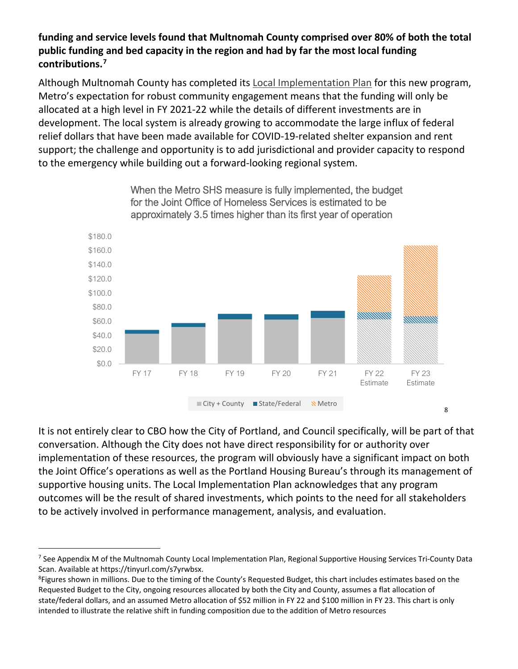#### **funding and service levels found that Multnomah County comprised over 80% of both the total public funding and bed capacity in the region and had by far the most local funding contributions.[7](#page-4-0)**

Although Multnomah County has completed its **Local Implementation Plan** for this new program, Metro's expectation for robust community engagement means that the funding will only be allocated at a high level in FY 2021-22 while the details of different investments are in development. The local system is already growing to accommodate the large influx of federal relief dollars that have been made available for COVID-19-related shelter expansion and rent support; the challenge and opportunity is to add jurisdictional and provider capacity to respond to the emergency while building out a forward-looking regional system.



When the Metro SHS measure is fully implemented, the budget for the Joint Office of Homeless Services is estimated to be approximately 3.5 times higher than its first year of operation

It is not entirely clear to CBO how the City of Portland, and Council specifically, will be part of that conversation. Although the City does not have direct responsibility for or authority over implementation of these resources, the program will obviously have a significant impact on both the Joint Office's operations as well as the Portland Housing Bureau's through its management of supportive housing units. The Local Implementation Plan acknowledges that any program outcomes will be the result of shared investments, which points to the need for all stakeholders to be actively involved in performance management, analysis, and evaluation.

<span id="page-4-0"></span><sup>&</sup>lt;sup>7</sup> See Appendix M of the Multnomah County Local Implementation Plan, Regional Supportive Housing Services Tri-County Data Scan. Available at https://tinyurl.com/s7yrwbsx.

<span id="page-4-1"></span><sup>&</sup>lt;sup>8</sup>Figures shown in millions. Due to the timing of the County's Requested Budget, this chart includes estimates based on the Requested Budget to the City, ongoing resources allocated by both the City and County, assumes a flat allocation of state/federal dollars, and an assumed Metro allocation of \$52 million in FY 22 and \$100 million in FY 23. This chart is only intended to illustrate the relative shift in funding composition due to the addition of Metro resources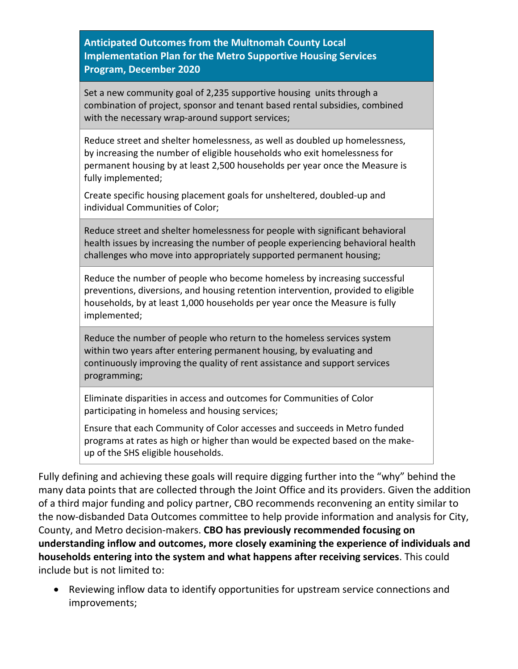**Anticipated Outcomes from the Multnomah County Local Implementation Plan for the Metro Supportive Housing Services Program, December 2020**

Set a new community goal of 2,235 supportive housing units through a combination of project, sponsor and tenant based rental subsidies, combined with the necessary wrap-around support services;

Reduce street and shelter homelessness, as well as doubled up homelessness, by increasing the number of eligible households who exit homelessness for permanent housing by at least 2,500 households per year once the Measure is fully implemented;

Create specific housing placement goals for unsheltered, doubled-up and individual Communities of Color;

Reduce street and shelter homelessness for people with significant behavioral health issues by increasing the number of people experiencing behavioral health challenges who move into appropriately supported permanent housing;

Reduce the number of people who become homeless by increasing successful preventions, diversions, and housing retention intervention, provided to eligible households, by at least 1,000 households per year once the Measure is fully implemented;

Reduce the number of people who return to the homeless services system within two years after entering permanent housing, by evaluating and continuously improving the quality of rent assistance and support services programming;

Eliminate disparities in access and outcomes for Communities of Color participating in homeless and housing services;

Ensure that each Community of Color accesses and succeeds in Metro funded programs at rates as high or higher than would be expected based on the makeup of the SHS eligible households.

Fully defining and achieving these goals will require digging further into the "why" behind the many data points that are collected through the Joint Office and its providers. Given the addition of a third major funding and policy partner, CBO recommends reconvening an entity similar to the now-disbanded Data Outcomes committee to help provide information and analysis for City, County, and Metro decision-makers. **CBO has previously recommended focusing on understanding inflow and outcomes, more closely examining the experience of individuals and households entering into the system and what happens after receiving services**. This could include but is not limited to:

• Reviewing inflow data to identify opportunities for upstream service connections and improvements;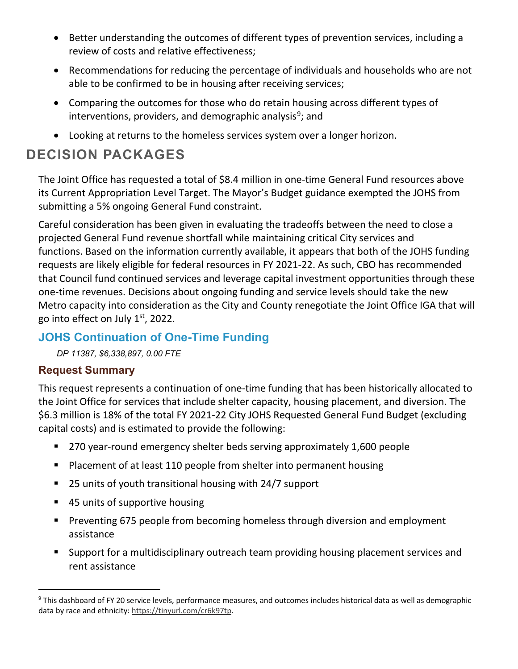- Better understanding the outcomes of different types of prevention services, including a review of costs and relative effectiveness;
- Recommendations for reducing the percentage of individuals and households who are not able to be confirmed to be in housing after receiving services;
- Comparing the outcomes for those who do retain housing across different types of interventions, providers, and demographic analysis<sup>[9](#page-6-0)</sup>; and
- Looking at returns to the homeless services system over a longer horizon.

# **DECISION PACKAGES**

The Joint Office has requested a total of \$8.4 million in one-time General Fund resources above its Current Appropriation Level Target. The Mayor's Budget guidance exempted the JOHS from submitting a 5% ongoing General Fund constraint.

Careful consideration has been given in evaluating the tradeoffs between the need to close a projected General Fund revenue shortfall while maintaining critical City services and functions. Based on the information currently available, it appears that both of the JOHS funding requests are likely eligible for federal resources in FY 2021-22. As such, CBO has recommended that Council fund continued services and leverage capital investment opportunities through these one-time revenues. Decisions about ongoing funding and service levels should take the new Metro capacity into consideration as the City and County renegotiate the Joint Office IGA that will go into effect on July 1st, 2022.

## **JOHS Continuation of One-Time Funding**

*DP 11387, \$6,338,897, 0.00 FTE* 

#### **Request Summary**

This request represents a continuation of one-time funding that has been historically allocated to the Joint Office for services that include shelter capacity, housing placement, and diversion. The \$6.3 million is 18% of the total FY 2021-22 City JOHS Requested General Fund Budget (excluding capital costs) and is estimated to provide the following:

- 270 year-round emergency shelter beds serving approximately 1,600 people
- **Placement of at least 110 people from shelter into permanent housing**
- 25 units of youth transitional housing with 24/7 support
- 45 units of supportive housing
- **Preventing 675 people from becoming homeless through diversion and employment** assistance
- Support for a multidisciplinary outreach team providing housing placement services and rent assistance

<span id="page-6-0"></span><sup>&</sup>lt;sup>9</sup> This dashboard of FY 20 service levels, performance measures, and outcomes includes historical data as well as demographic data by race and ethnicity[: https://tinyurl.com/cr6k97tp.](https://tinyurl.com/cr6k97tp)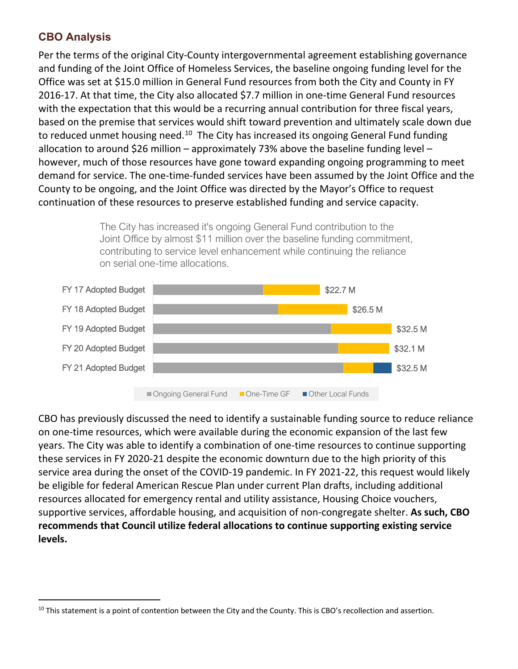## **CBO Analysis**

Per the terms of the original City-County intergovernmental agreement establishing governance and funding of the Joint Office of Homeless Services, the baseline ongoing funding level for the Office was set at \$15.0 million in General Fund resources from both the City and County in FY 2016-17. At that time, the City also allocated \$7.7 million in one-time General Fund resources with the expectation that this would be a recurring annual contribution for three fiscal years, based on the premise that services would shift toward prevention and ultimately scale down due to reduced unmet housing need.<sup>[10](#page-7-0)</sup> The City has increased its ongoing General Fund funding allocation to around \$26 million – approximately 73% above the baseline funding level – however, much of those resources have gone toward expanding ongoing programming to meet demand for service. The one-time-funded services have been assumed by the Joint Office and the County to be ongoing, and the Joint Office was directed by the Mayor's Office to request continuation of these resources to preserve established funding and service capacity.

> The City has increased it's ongoing General Fund contribution to the Joint Office by almost \$11 million over the baseline funding commitment, contributing to service level enhancement while continuing the reliance on serial one-time allocations.



CBO has previously discussed the need to identify a sustainable funding source to reduce reliance on one-time resources, which were available during the economic expansion of the last few years. The City was able to identify a combination of one-time resources to continue supporting these services in FY 2020-21 despite the economic downturn due to the high priority of this service area during the onset of the COVID-19 pandemic. In FY 2021-22, this request would likely be eligible for federal American Rescue Plan under current Plan drafts, including additional resources allocated for emergency rental and utility assistance, Housing Choice vouchers, supportive services, affordable housing, and acquisition of non-congregate shelter. **As such, CBO recommends that Council utilize federal allocations to continue supporting existing service levels.**

<span id="page-7-0"></span> $10$  This statement is a point of contention between the City and the County. This is CBO's recollection and assertion.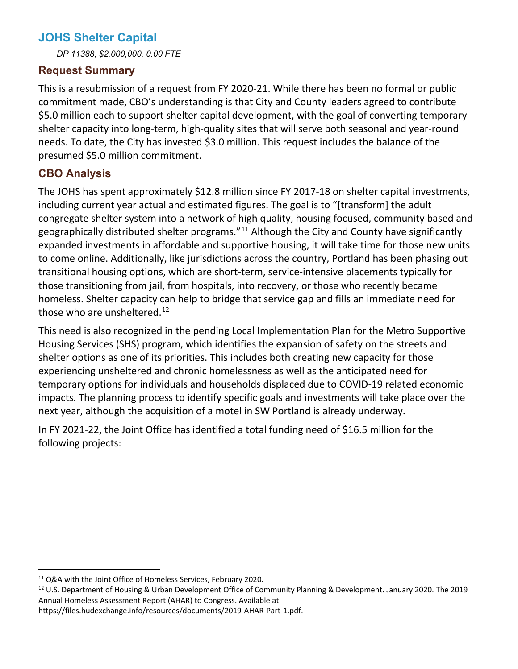# **JOHS Shelter Capital**

*DP 11388, \$2,000,000, 0.00 FTE* 

#### **Request Summary**

This is a resubmission of a request from FY 2020-21. While there has been no formal or public commitment made, CBO's understanding is that City and County leaders agreed to contribute \$5.0 million each to support shelter capital development, with the goal of converting temporary shelter capacity into long-term, high-quality sites that will serve both seasonal and year-round needs. To date, the City has invested \$3.0 million. This request includes the balance of the presumed \$5.0 million commitment.

## **CBO Analysis**

The JOHS has spent approximately \$12.8 million since FY 2017-18 on shelter capital investments, including current year actual and estimated figures. The goal is to "[transform] the adult congregate shelter system into a network of high quality, housing focused, community based and geographically distributed shelter programs."<sup>[11](#page-8-0)</sup> Although the City and County have significantly expanded investments in affordable and supportive housing, it will take time for those new units to come online. Additionally, like jurisdictions across the country, Portland has been phasing out transitional housing options, which are short-term, service-intensive placements typically for those transitioning from jail, from hospitals, into recovery, or those who recently became homeless. Shelter capacity can help to bridge that service gap and fills an immediate need for those who are unsheltered. $^{12}$ 

This need is also recognized in the pending Local Implementation Plan for the Metro Supportive Housing Services (SHS) program, which identifies the expansion of safety on the streets and shelter options as one of its priorities. This includes both creating new capacity for those experiencing unsheltered and chronic homelessness as well as the anticipated need for temporary options for individuals and households displaced due to COVID-19 related economic impacts. The planning process to identify specific goals and investments will take place over the next year, although the acquisition of a motel in SW Portland is already underway.

In FY 2021-22, the Joint Office has identified a total funding need of \$16.5 million for the following projects:

<span id="page-8-0"></span><sup>&</sup>lt;sup>11</sup> Q&A with the Joint Office of Homeless Services, February 2020.

<span id="page-8-1"></span><sup>&</sup>lt;sup>12</sup> U.S. Department of Housing & Urban Development Office of Community Planning & Development. January 2020. The 2019 Annual Homeless Assessment Report (AHAR) to Congress. Available at

https://files.hudexchange.info/resources/documents/2019-AHAR-Part-1.pdf.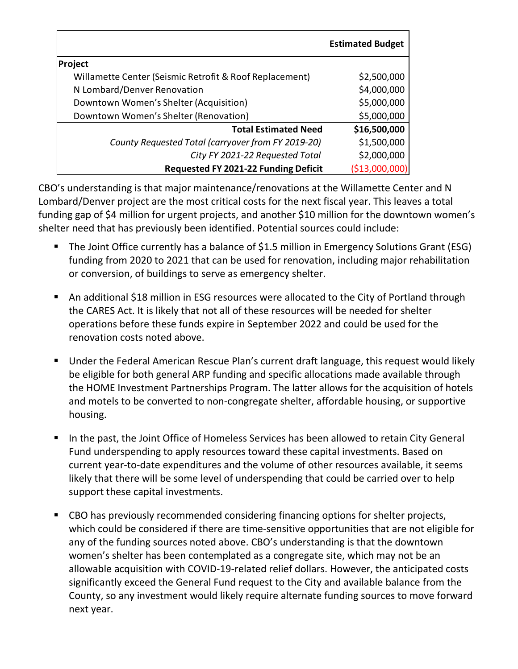|                                                         | <b>Estimated Budget</b> |
|---------------------------------------------------------|-------------------------|
| Project                                                 |                         |
| Willamette Center (Seismic Retrofit & Roof Replacement) | \$2,500,000             |
| N Lombard/Denver Renovation                             | \$4,000,000             |
| Downtown Women's Shelter (Acquisition)                  | \$5,000,000             |
| Downtown Women's Shelter (Renovation)                   | \$5,000,000             |
| <b>Total Estimated Need</b>                             | \$16,500,000            |
| County Requested Total (carryover from FY 2019-20)      | \$1,500,000             |
| City FY 2021-22 Requested Total                         | \$2,000,000             |
| Requested FY 2021-22 Funding Deficit                    | (\$13,000,              |

CBO's understanding is that major maintenance/renovations at the Willamette Center and N Lombard/Denver project are the most critical costs for the next fiscal year. This leaves a total funding gap of \$4 million for urgent projects, and another \$10 million for the downtown women's shelter need that has previously been identified. Potential sources could include:

- The Joint Office currently has a balance of \$1.5 million in Emergency Solutions Grant (ESG) funding from 2020 to 2021 that can be used for renovation, including major rehabilitation or conversion, of buildings to serve as emergency shelter.
- An additional \$18 million in ESG resources were allocated to the City of Portland through the CARES Act. It is likely that not all of these resources will be needed for shelter operations before these funds expire in September 2022 and could be used for the renovation costs noted above.
- Under the Federal American Rescue Plan's current draft language, this request would likely be eligible for both general ARP funding and specific allocations made available through the HOME Investment Partnerships Program. The latter allows for the acquisition of hotels and motels to be converted to non-congregate shelter, affordable housing, or supportive housing.
- In the past, the Joint Office of Homeless Services has been allowed to retain City General Fund underspending to apply resources toward these capital investments. Based on current year-to-date expenditures and the volume of other resources available, it seems likely that there will be some level of underspending that could be carried over to help support these capital investments.
- CBO has previously recommended considering financing options for shelter projects, which could be considered if there are time-sensitive opportunities that are not eligible for any of the funding sources noted above. CBO's understanding is that the downtown women's shelter has been contemplated as a congregate site, which may not be an allowable acquisition with COVID-19-related relief dollars. However, the anticipated costs significantly exceed the General Fund request to the City and available balance from the County, so any investment would likely require alternate funding sources to move forward next year.